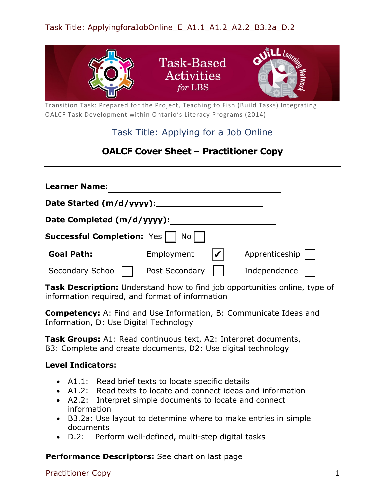

Transition Task: Prepared for the Project, Teaching to Fish (Build Tasks) Integrating OALCF Task Development within Ontario's Literacy Programs (2014)

# Task Title: Applying for a Job Online

# **OALCF Cover Sheet – Practitioner Copy**

| <b>Learner Name:</b>                      |                |  |                |  |  |
|-------------------------------------------|----------------|--|----------------|--|--|
| Date Started (m/d/yyyy):_                 |                |  |                |  |  |
| Date Completed (m/d/yyyy):                |                |  |                |  |  |
| <b>Successful Completion:</b> Yes<br>No I |                |  |                |  |  |
| <b>Goal Path:</b>                         | Employment     |  | Apprenticeship |  |  |
| Secondary School                          | Post Secondary |  | Independence   |  |  |

**Task Description:** Understand how to find job opportunities online, type of information required, and format of information

**Competency:** A: Find and Use Information, B: Communicate Ideas and Information, D: Use Digital Technology

**Task Groups:** A1: Read continuous text, A2: Interpret documents, B3: Complete and create documents, D2: Use digital technology

## **Level Indicators:**

- A1.1: Read brief texts to locate specific details
- A1.2: Read texts to locate and connect ideas and information
- A2.2: Interpret simple documents to locate and connect information
- B3.2a: Use layout to determine where to make entries in simple documents
- D.2: Perform well-defined, multi-step digital tasks

**Performance Descriptors:** See chart on last page

Practitioner Copy 1 and 1 and 2 and 2 and 2 and 2 and 2 and 2 and 2 and 2 and 2 and 2 and 2 and 2 and 2 and 2 and 2 and 2 and 2 and 2 and 2 and 2 and 2 and 2 and 2 and 2 and 2 and 2 and 2 and 2 and 2 and 2 and 2 and 2 and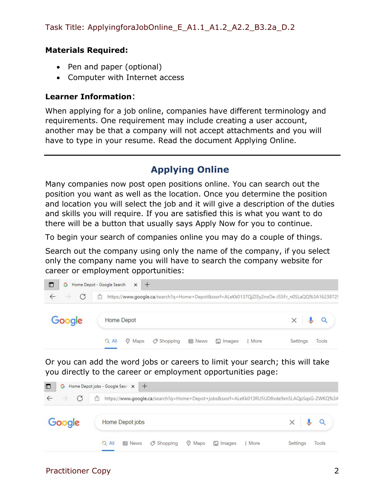#### **Materials Required:**

- Pen and paper (optional)
- Computer with Internet access

### **Learner Information**:

When applying for a job online, companies have different terminology and requirements. One requirement may include creating a user account, another may be that a company will not accept attachments and you will have to type in your resume. Read the document Applying Online.

# **Applying Online**

Many companies now post open positions online. You can search out the position you want as well as the location. Once you determine the position and location you will select the job and it will give a description of the duties and skills you will require. If you are satisfied this is what you want to do there will be a button that usually says Apply Now for you to continue.

To begin your search of companies online you may do a couple of things.

Search out the company using only the name of the company, if you select only the company name you will have to search the company website for career or employment opportunities:



Or you can add the word jobs or careers to limit your search; this will take you directly to the career or employment opportunities page:

| G<br>$\Box$        | Home Depot jobs - Google Searc X +                                                              |                              |
|--------------------|-------------------------------------------------------------------------------------------------|------------------------------|
| G<br>$\rightarrow$ | Ĥ<br>https://www.google.ca/search?q=Home+Depot+jobs&sxsrf=ALeKk013RU5UD8vde9xn5LAQpSqsG-ZWKQ%3A |                              |
| Google             | Home Depot jobs                                                                                 | $\times$ $\downarrow$ $\sim$ |
|                    | O Shopping<br>V Maps<br>$\Box$ Images<br>$Q$ All<br><b>国</b> News<br>: More                     | Settings<br>Tools            |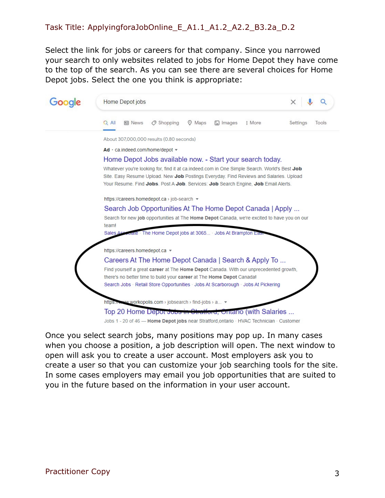# Task Title: ApplyingforaJobOnline\_E\_A1.1\_A1.2\_A2.2\_B3.2a\_D.2

Select the link for jobs or careers for that company. Since you narrowed your search to only websites related to jobs for Home Depot they have come to the top of the search. As you can see there are several choices for Home Depot jobs. Select the one you think is appropriate:



Jobs 1 - 20 of 46 - Home Depot jobs near Stratford, ontario · HVAC Technician · Customer

Once you select search jobs, many positions may pop up. In many cases when you choose a position, a job description will open. The next window to open will ask you to create a user account. Most employers ask you to create a user so that you can customize your job searching tools for the site. In some cases employers may email you job opportunities that are suited to you in the future based on the information in your user account.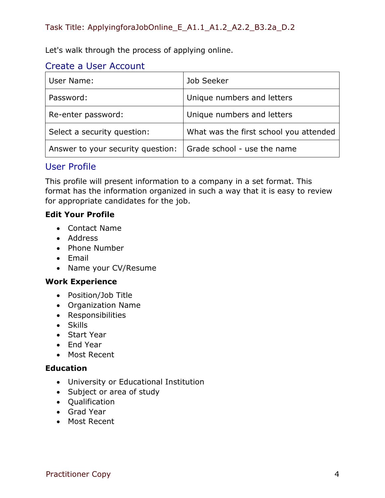Let's walk through the process of applying online.

# Create a User Account

| User Name:                        | Job Seeker                             |
|-----------------------------------|----------------------------------------|
| Password:                         | Unique numbers and letters             |
| Re-enter password:                | Unique numbers and letters             |
| Select a security question:       | What was the first school you attended |
| Answer to your security question: | Grade school - use the name            |

# User Profile

This profile will present information to a company in a set format. This format has the information organized in such a way that it is easy to review for appropriate candidates for the job.

## **Edit Your Profile**

- Contact Name
- Address
- Phone Number
- Email
- Name your CV/Resume

## **Work Experience**

- Position/Job Title
- Organization Name
- Responsibilities
- Skills
- Start Year
- End Year
- Most Recent

## **Education**

- University or Educational Institution
- Subject or area of study
- Qualification
- Grad Year
- Most Recent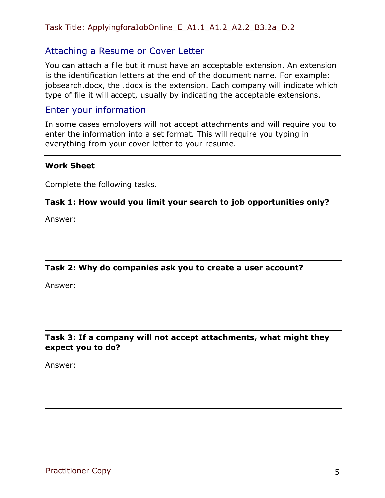## Task Title: ApplyingforaJobOnline\_E\_A1.1\_A1.2\_A2.2\_B3.2a\_D.2

# Attaching a Resume or Cover Letter

You can attach a file but it must have an acceptable extension. An extension is the identification letters at the end of the document name. For example: jobsearch.docx, the .docx is the extension. Each company will indicate which type of file it will accept, usually by indicating the acceptable extensions.

# Enter your information

In some cases employers will not accept attachments and will require you to enter the information into a set format. This will require you typing in everything from your cover letter to your resume.

#### **Work Sheet**

Complete the following tasks.

#### **Task 1: How would you limit your search to job opportunities only?**

Answer:

#### **Task 2: Why do companies ask you to create a user account?**

Answer:

### **Task 3: If a company will not accept attachments, what might they expect you to do?**

Answer: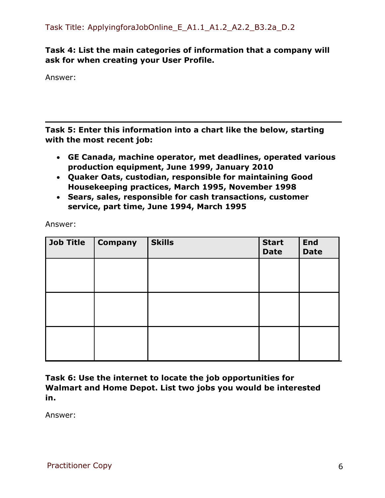# **Task 4: List the main categories of information that a company will ask for when creating your User Profile.**

Answer:

**Task 5: Enter this information into a chart like the below, starting with the most recent job:**

- **GE Canada, machine operator, met deadlines, operated various production equipment, June 1999, January 2010**
- **Quaker Oats, custodian, responsible for maintaining Good Housekeeping practices, March 1995, November 1998**
- **Sears, sales, responsible for cash transactions, customer service, part time, June 1994, March 1995**

Answer:

| <b>Job Title</b> | <b>Company</b> | <b>Skills</b> | <b>Start</b><br><b>Date</b> | <b>End</b><br><b>Date</b> |
|------------------|----------------|---------------|-----------------------------|---------------------------|
|                  |                |               |                             |                           |
|                  |                |               |                             |                           |
|                  |                |               |                             |                           |
|                  |                |               |                             |                           |
|                  |                |               |                             |                           |
|                  |                |               |                             |                           |

**Task 6: Use the internet to locate the job opportunities for Walmart and Home Depot. List two jobs you would be interested in.** 

Answer: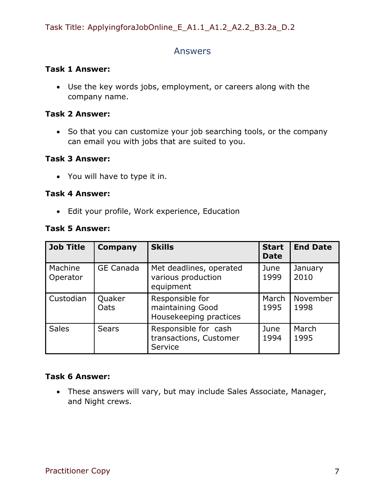# Answers

#### **Task 1 Answer:**

• Use the key words jobs, employment, or careers along with the company name.

#### **Task 2 Answer:**

• So that you can customize your job searching tools, or the company can email you with jobs that are suited to you.

### **Task 3 Answer:**

• You will have to type it in.

#### **Task 4 Answer:**

• Edit your profile, Work experience, Education

#### **Task 5 Answer:**

| <b>Job Title</b>    | <b>Company</b>   | <b>Skills</b>                                                 | <b>Start</b><br><b>Date</b> | <b>End Date</b>  |
|---------------------|------------------|---------------------------------------------------------------|-----------------------------|------------------|
| Machine<br>Operator | <b>GE Canada</b> | Met deadlines, operated<br>various production<br>equipment    | June<br>1999                | January<br>2010  |
| Custodian           | Quaker<br>Oats   | Responsible for<br>maintaining Good<br>Housekeeping practices | March<br>1995               | November<br>1998 |
| <b>Sales</b>        | <b>Sears</b>     | Responsible for cash<br>transactions, Customer<br>Service     | June<br>1994                | March<br>1995    |

## **Task 6 Answer:**

• These answers will vary, but may include Sales Associate, Manager, and Night crews.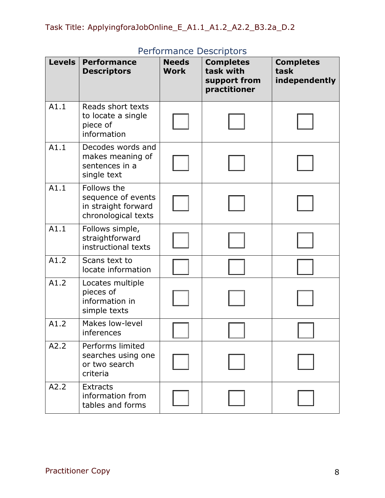| <b>Levels</b> | <b>Performance</b><br><b>Descriptors</b>                                        | <b>Needs</b><br><b>Work</b> | en ommance Desemptors<br><b>Completes</b><br>task with<br>support from<br>practitioner | <b>Completes</b><br>task<br>independently |
|---------------|---------------------------------------------------------------------------------|-----------------------------|----------------------------------------------------------------------------------------|-------------------------------------------|
| A1.1          | Reads short texts<br>to locate a single<br>piece of<br>information              |                             |                                                                                        |                                           |
| A1.1          | Decodes words and<br>makes meaning of<br>sentences in a<br>single text          |                             |                                                                                        |                                           |
| A1.1          | Follows the<br>sequence of events<br>in straight forward<br>chronological texts |                             |                                                                                        |                                           |
| A1.1          | Follows simple,<br>straightforward<br>instructional texts                       |                             |                                                                                        |                                           |
| A1.2          | Scans text to<br>locate information                                             |                             |                                                                                        |                                           |
| A1.2          | Locates multiple<br>pieces of<br>information in<br>simple texts                 |                             |                                                                                        |                                           |
| A1.2          | Makes low-level<br>inferences                                                   |                             |                                                                                        |                                           |
| A2.2          | Performs limited<br>searches using one<br>or two search<br>criteria             |                             |                                                                                        |                                           |
| A2.2          | <b>Extracts</b><br>information from<br>tables and forms                         |                             |                                                                                        |                                           |

# Performance Descriptors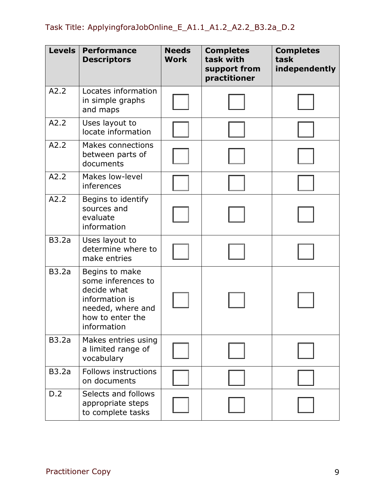| <b>Levels</b> | <b>Performance</b><br><b>Descriptors</b>                                                                                      | <b>Needs</b><br><b>Work</b> | <b>Completes</b><br>task with<br>support from<br>practitioner | <b>Completes</b><br>task<br>independently |
|---------------|-------------------------------------------------------------------------------------------------------------------------------|-----------------------------|---------------------------------------------------------------|-------------------------------------------|
| A2.2          | Locates information<br>in simple graphs<br>and maps                                                                           |                             |                                                               |                                           |
| A2.2          | Uses layout to<br>locate information                                                                                          |                             |                                                               |                                           |
| A2.2          | <b>Makes connections</b><br>between parts of<br>documents                                                                     |                             |                                                               |                                           |
| A2.2          | Makes low-level<br>inferences                                                                                                 |                             |                                                               |                                           |
| A2.2          | Begins to identify<br>sources and<br>evaluate<br>information                                                                  |                             |                                                               |                                           |
| <b>B3.2a</b>  | Uses layout to<br>determine where to<br>make entries                                                                          |                             |                                                               |                                           |
| <b>B3.2a</b>  | Begins to make<br>some inferences to<br>decide what<br>information is<br>needed, where and<br>how to enter the<br>information |                             |                                                               |                                           |
| <b>B3.2a</b>  | Makes entries using<br>a limited range of<br>vocabulary                                                                       |                             |                                                               |                                           |
| <b>B3.2a</b>  | Follows instructions<br>on documents                                                                                          |                             |                                                               |                                           |
| D.2           | Selects and follows<br>appropriate steps<br>to complete tasks                                                                 |                             |                                                               |                                           |